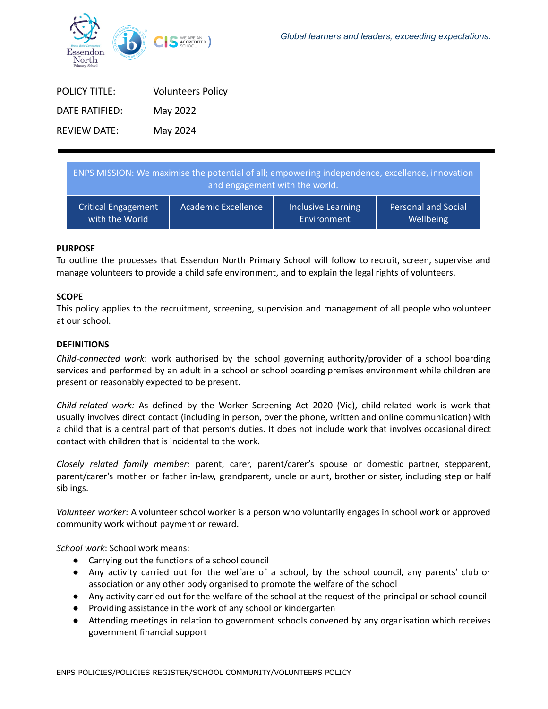

| <b>POLICY TITLE:</b> | <b>Volunteers Policy</b> |
|----------------------|--------------------------|
| DATE RATIFIFD:       | May 2022                 |
| <b>REVIEW DATE:</b>  | May 2024                 |

| ENPS MISSION: We maximise the potential of all; empowering independence, excellence, innovation<br>and engagement with the world. |                            |                    |                            |  |
|-----------------------------------------------------------------------------------------------------------------------------------|----------------------------|--------------------|----------------------------|--|
| <b>Critical Engagement</b>                                                                                                        | <b>Academic Excellence</b> | Inclusive Learning | <b>Personal and Social</b> |  |
| with the World                                                                                                                    |                            | Environment        | Wellbeing                  |  |

## **PURPOSE**

To outline the processes that Essendon North Primary School will follow to recruit, screen, supervise and manage volunteers to provide a child safe environment, and to explain the legal rights of volunteers.

### **SCOPE**

This policy applies to the recruitment, screening, supervision and management of all people who volunteer at our school.

### **DEFINITIONS**

*Child-connected work*: work authorised by the school governing authority/provider of a school boarding services and performed by an adult in a school or school boarding premises environment while children are present or reasonably expected to be present.

*Child-related work:* As defined by the Worker Screening Act 2020 (Vic), child-related work is work that usually involves direct contact (including in person, over the phone, written and online communication) with a child that is a central part of that person's duties. It does not include work that involves occasional direct contact with children that is incidental to the work.

*Closely related family member:* parent, carer, parent/carer's spouse or domestic partner, stepparent, parent/carer's mother or father in-law, grandparent, uncle or aunt, brother or sister, including step or half siblings.

*Volunteer worker*: A volunteer school worker is a person who voluntarily engages in school work or approved community work without payment or reward.

*School work*: School work means:

- Carrying out the functions of a school council
- Any activity carried out for the welfare of a school, by the school council, any parents' club or association or any other body organised to promote the welfare of the school
- Any activity carried out for the welfare of the school at the request of the principal or school council
- Providing assistance in the work of any school or kindergarten
- Attending meetings in relation to government schools convened by any organisation which receives government financial support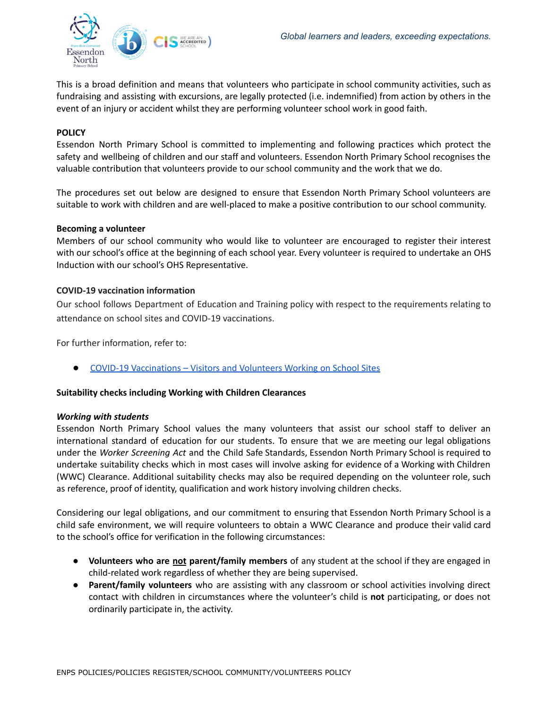

This is a broad definition and means that volunteers who participate in school community activities, such as fundraising and assisting with excursions, are legally protected (i.e. indemnified) from action by others in the event of an injury or accident whilst they are performing volunteer school work in good faith.

# **POLICY**

Essendon North Primary School is committed to implementing and following practices which protect the safety and wellbeing of children and our staff and volunteers. Essendon North Primary School recognises the valuable contribution that volunteers provide to our school community and the work that we do.

The procedures set out below are designed to ensure that Essendon North Primary School volunteers are suitable to work with children and are well-placed to make a positive contribution to our school community.

### **Becoming a volunteer**

Members of our school community who would like to volunteer are encouraged to register their interest with our school's office at the beginning of each school year. Every volunteer is required to undertake an OHS Induction with our school's OHS Representative.

### **COVID-19 vaccination information**

Our school follows Department of Education and Training policy with respect to the requirements relating to attendance on school sites and COVID-19 vaccinations.

For further information, refer to:

● COVID-19 [Vaccinations](https://www2.education.vic.gov.au/pal/covid-19-vaccinations-visitors-volunteers/policy) – Visitors and Volunteers Working on School Sites

## **Suitability checks including Working with Children Clearances**

#### *Working with students*

Essendon North Primary School values the many volunteers that assist our school staff to deliver an international standard of education for our students. To ensure that we are meeting our legal obligations under the *Worker Screening Act* and the Child Safe Standards, Essendon North Primary School is required to undertake suitability checks which in most cases will involve asking for evidence of a Working with Children (WWC) Clearance. Additional suitability checks may also be required depending on the volunteer role, such as reference, proof of identity, qualification and work history involving children checks.

Considering our legal obligations, and our commitment to ensuring that Essendon North Primary School is a child safe environment, we will require volunteers to obtain a WWC Clearance and produce their valid card to the school's office for verification in the following circumstances:

- **Volunteers who are not parent/family members** of any student at the school if they are engaged in child-related work regardless of whether they are being supervised.
- **Parent/family volunteers** who are assisting with any classroom or school activities involving direct contact with children in circumstances where the volunteer's child is **not** participating, or does not ordinarily participate in, the activity.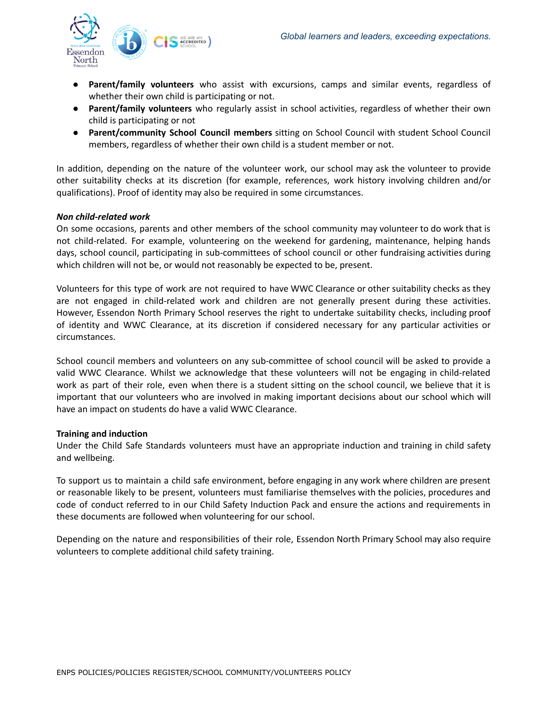

- **Parent/family volunteers** who assist with excursions, camps and similar events, regardless of whether their own child is participating or not.
- **Parent/family volunteers** who regularly assist in school activities, regardless of whether their own child is participating or not
- **Parent/community School Council members** sitting on School Council with student School Council members, regardless of whether their own child is a student member or not.

In addition, depending on the nature of the volunteer work, our school may ask the volunteer to provide other suitability checks at its discretion (for example, references, work history involving children and/or qualifications). Proof of identity may also be required in some circumstances.

### *Non child-related work*

On some occasions, parents and other members of the school community may volunteer to do work that is not child-related. For example, volunteering on the weekend for gardening, maintenance, helping hands days, school council, participating in sub-committees of school council or other fundraising activities during which children will not be, or would not reasonably be expected to be, present.

Volunteers for this type of work are not required to have WWC Clearance or other suitability checks as they are not engaged in child-related work and children are not generally present during these activities. However, Essendon North Primary School reserves the right to undertake suitability checks, including proof of identity and WWC Clearance, at its discretion if considered necessary for any particular activities or circumstances.

School council members and volunteers on any sub-committee of school council will be asked to provide a valid WWC Clearance. Whilst we acknowledge that these volunteers will not be engaging in child-related work as part of their role, even when there is a student sitting on the school council, we believe that it is important that our volunteers who are involved in making important decisions about our school which will have an impact on students do have a valid WWC Clearance.

#### **Training and induction**

Under the Child Safe Standards volunteers must have an appropriate induction and training in child safety and wellbeing.

To support us to maintain a child safe environment, before engaging in any work where children are present or reasonable likely to be present, volunteers must familiarise themselves with the policies, procedures and code of conduct referred to in our Child Safety Induction Pack and ensure the actions and requirements in these documents are followed when volunteering for our school.

Depending on the nature and responsibilities of their role, Essendon North Primary School may also require volunteers to complete additional child safety training.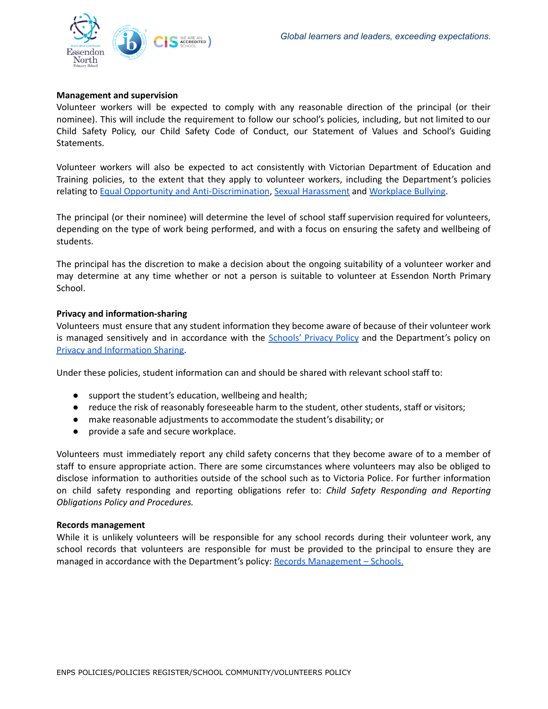

### **Management and supervision**

Volunteer workers will be expected to comply with any reasonable direction of the principal (or their nominee). This will include the requirement to follow our school's policies, including, but not limited to our Child Safety Policy, our Child Safety Code of Conduct, our Statement of Values and School's Guiding Statements.

Volunteer workers will also be expected to act consistently with Victorian Department of Education and Training policies, to the extent that they apply to volunteer workers, including the Department's policies relating to Equal Opportunity and [Anti-Discrimination](https://www2.education.vic.gov.au/pal/equal-opportunity/policy-and-guidelines), Sexual [Harassment](https://www2.education.vic.gov.au/pal/sexual-harassment/overview) and [Workplace](https://www2.education.vic.gov.au/pal/workplace-bullying/policy) Bullying.

The principal (or their nominee) will determine the level of school staff supervision required for volunteers, depending on the type of work being performed, and with a focus on ensuring the safety and wellbeing of students.

The principal has the discretion to make a decision about the ongoing suitability of a volunteer worker and may determine at any time whether or not a person is suitable to volunteer at Essendon North Primary School.

### **Privacy and information-sharing**

Volunteers must ensure that any student information they become aware of because of their volunteer work is managed sensitively and in accordance with the [Schools'](https://www.education.vic.gov.au/Pages/schoolsprivacypolicy.aspx) Privacy Policy a[n](https://www2.education.vic.gov.au/pal/privacy-information-sharing/policy)d the Department's policy on Privacy and [Information](https://www2.education.vic.gov.au/pal/privacy-information-sharing/policy) Sharing.

Under these policies, student information can and should be shared with relevant school staff to:

- support the student's education, wellbeing and health;
- reduce the risk of reasonably foreseeable harm to the student, other students, staff or visitors;
- make reasonable adjustments to accommodate the student's disability; or
- provide a safe and secure workplace.

Volunteers must immediately report any child safety concerns that they become aware of to a member of staff to ensure appropriate action. There are some circumstances where volunteers may also be obliged to disclose information to authorities outside of the school such as to Victoria Police. For further information on child safety responding and reporting obligations refer to: *Child Safety Responding and Reporting Obligations Policy and Procedures.*

#### **Records management**

While it is unlikely volunteers will be responsible for any school records during their volunteer work, any school records that volunteers are responsible for must be provided to the principal to ensure they are managed in accordance with the Department's policy: Records [Management](https://www2.education.vic.gov.au/pal/records-management/policy) - Schools.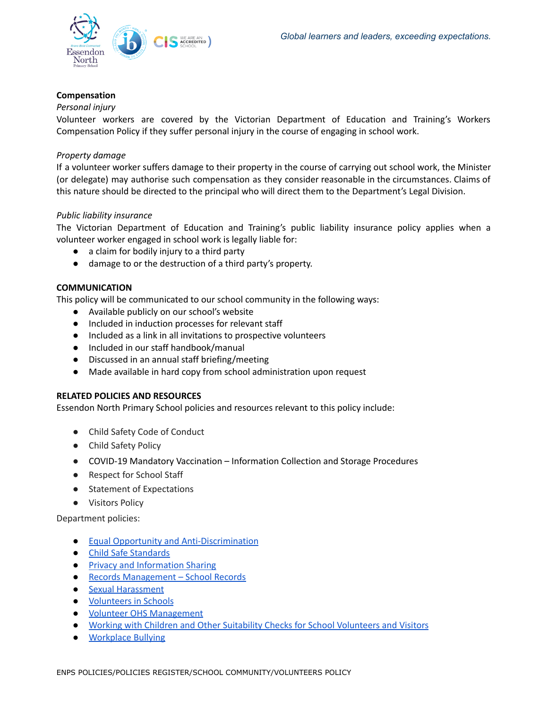

# **Compensation**

# *Personal injury*

Volunteer workers are covered by the Victorian Department of Education and Training's Workers Compensation Policy if they suffer personal injury in the course of engaging in school work.

## *Property damage*

If a volunteer worker suffers damage to their property in the course of carrying out school work, the Minister (or delegate) may authorise such compensation as they consider reasonable in the circumstances. Claims of this nature should be directed to the principal who will direct them to the Department's Legal Division.

### *Public liability insurance*

The Victorian Department of Education and Training's public liability insurance policy applies when a volunteer worker engaged in school work is legally liable for:

- a claim for bodily injury to a third party
- damage to or the destruction of a third party's property.

## **COMMUNICATION**

This policy will be communicated to our school community in the following ways:

- Available publicly on our school's website
- Included in induction processes for relevant staff
- Included as a link in all invitations to prospective volunteers
- Included in our staff handbook/manual
- Discussed in an annual staff briefing/meeting
- Made available in hard copy from school administration upon request

## **RELATED POLICIES AND RESOURCES**

Essendon North Primary School policies and resources relevant to this policy include:

- Child Safety Code of Conduct
- Child Safety Policy
- **●** COVID-19 Mandatory Vaccination Information Collection and Storage Procedures
- Respect for School Staff
- Statement of Expectations
- Visitors Policy

Department policies:

- Equal Opportunity and [Anti-Discrimination](https://www2.education.vic.gov.au/pal/equal-opportunity/policy-and-guidelines)
- Child Safe [Standards](https://www2.education.vic.gov.au/pal/child-safe-standards/policy)
- Privacy and [Information](https://www2.education.vic.gov.au/pal/privacy-information-sharing/policy) Sharing
- Records [Management](https://www2.education.vic.gov.au/pal/records-management/policy) School Records
- Sexual [Harassment](https://www2.education.vic.gov.au/pal/sexual-harassment/policy-and-guidelines)
- [Volunteers](https://www2.education.vic.gov.au/pal/volunteers/policy) in Schools
- Volunteer OHS [Management](https://www2.education.vic.gov.au/pal/volunteer-ohs-management/policy)
- Working with Children and Other Suitability Checks for School [Volunteers](https://www2.education.vic.gov.au/pal/suitability-checks/policy) and Visitors
- [Workplace](https://www2.education.vic.gov.au/pal/workplace-bullying/policy) Bullying